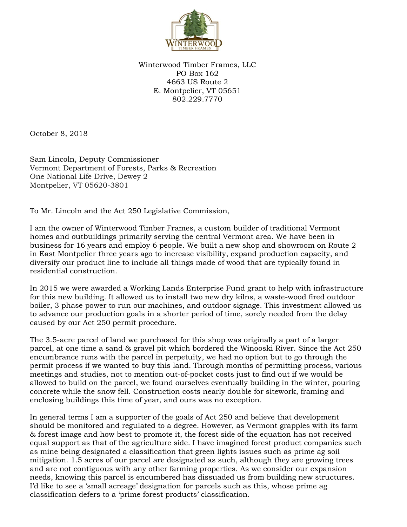

Winterwood Timber Frames, LLC PO Box 162 4663 US Route 2 E. Montpelier, VT 05651 802.229.7770

October 8, 2018

Sam Lincoln, Deputy Commissioner Vermont Department of Forests, Parks & Recreation One National Life Drive, Dewey 2 Montpelier, VT 05620-3801

To Mr. Lincoln and the Act 250 Legislative Commission,

I am the owner of Winterwood Timber Frames, a custom builder of traditional Vermont homes and outbuildings primarily serving the central Vermont area. We have been in business for 16 years and employ 6 people. We built a new shop and showroom on Route 2 in East Montpelier three years ago to increase visibility, expand production capacity, and diversify our product line to include all things made of wood that are typically found in residential construction.

In 2015 we were awarded a Working Lands Enterprise Fund grant to help with infrastructure for this new building. It allowed us to install two new dry kilns, a waste-wood fired outdoor boiler, 3 phase power to run our machines, and outdoor signage. This investment allowed us to advance our production goals in a shorter period of time, sorely needed from the delay caused by our Act 250 permit procedure.

The 3.5-acre parcel of land we purchased for this shop was originally a part of a larger parcel, at one time a sand & gravel pit which bordered the Winooski River. Since the Act 250 encumbrance runs with the parcel in perpetuity, we had no option but to go through the permit process if we wanted to buy this land. Through months of permitting process, various meetings and studies, not to mention out-of-pocket costs just to find out if we would be allowed to build on the parcel, we found ourselves eventually building in the winter, pouring concrete while the snow fell. Construction costs nearly double for sitework, framing and enclosing buildings this time of year, and ours was no exception.

In general terms I am a supporter of the goals of Act 250 and believe that development should be monitored and regulated to a degree. However, as Vermont grapples with its farm & forest image and how best to promote it, the forest side of the equation has not received equal support as that of the agriculture side. I have imagined forest product companies such as mine being designated a classification that green lights issues such as prime ag soil mitigation. 1.5 acres of our parcel are designated as such, although they are growing trees and are not contiguous with any other farming properties. As we consider our expansion needs, knowing this parcel is encumbered has dissuaded us from building new structures. I'd like to see a 'small acreage' designation for parcels such as this, whose prime ag classification defers to a 'prime forest products' classification.